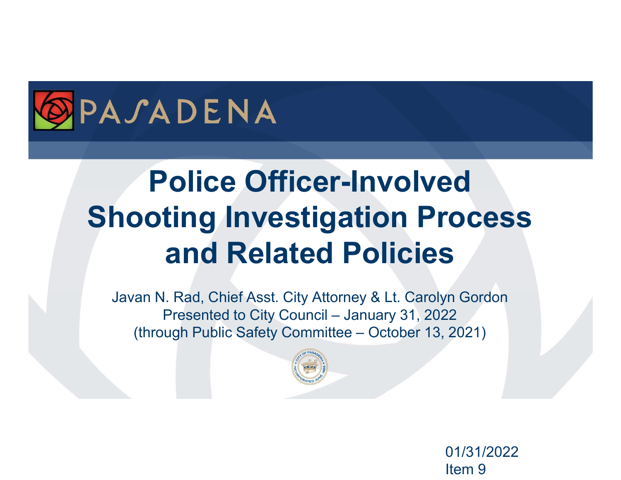

# Police Officer-Involved Shooting Investigation Process and Related Policies **Police Officer-Involved<br>
ting Investigation Process<br>
and Related Policies**<br>
E. Rad, Chief Asst. City Attorney & Lt. Carolyn Gordon<br>
Presented to City Council – January 31, 2022<br>
ugh Public Safety Committee – October 13, 2 **Police Officer-Involved<br>
Doting Investigation Process<br>
and Related Policies**<br>
Presented to City Council – January 31, 2022<br>
(through Public Safety Committee – October 13, 2021)

Javan N. Rad, Chief Asst. City Attorney & Lt. Carolyn Gordon



01/31/2022 Item 9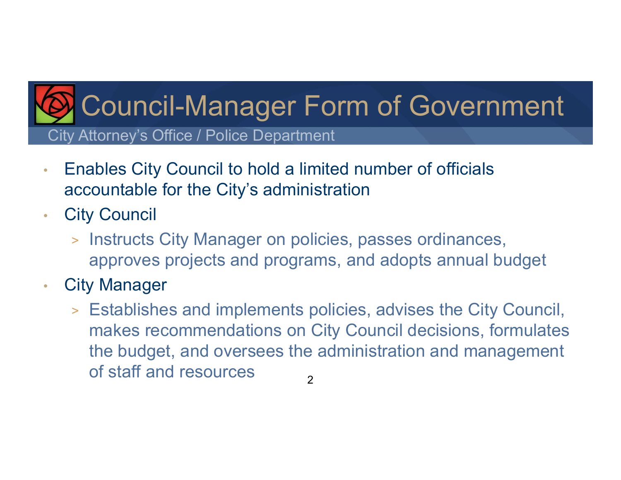## City Attorney's Office / Police Department Council-Manager Form of Government

- Enables City Council to hold a limited number of officials accountable for the City's administration
- City Council
	- > Instructs City Manager on policies, passes ordinances, approves projects and programs, and adopts annual budget
- City Manager
	- > Establishes and implements policies, advises the City Council, makes recommendations on City Council decisions, formulates the budget, and oversees the administration and management of staff and resources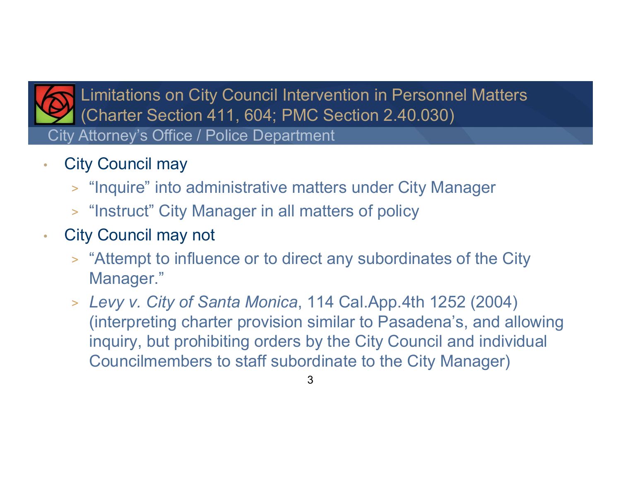

City Attorney's Office / Police Department Limitations on City Council Intervention in Personnel Matters (Charter Section 411, 604; PMC Section 2.40.030)

- City Council may
	- > "Inquire" into administrative matters under City Manager
	- > "Instruct" City Manager in all matters of policy
- City Council may not
	- > "Attempt to influence or to direct any subordinates of the City Manager."
	- > Levy v. City of Santa Monica, 114 Cal.App.4th 1252 (2004) (interpreting charter provision similar to Pasadena's, and allowing inquiry, but prohibiting orders by the City Council and individual Councilmembers to staff subordinate to the City Manager)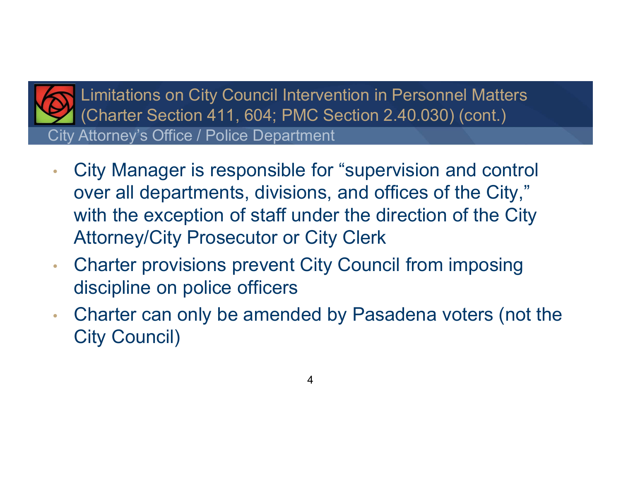

City Attorney's Office / Police Department Limitations on City Council Intervention in Personnel Matters (Charter Section 411, 604; PMC Section 2.40.030) (cont.)

- City Manager is responsible for "supervision and control over all departments, divisions, and offices of the City," with the exception of staff under the direction of the City Attorney/City Prosecutor or City Clerk
- Charter provisions prevent City Council from imposing discipline on police officers
- Charter can only be amended by Pasadena voters (not the City Council)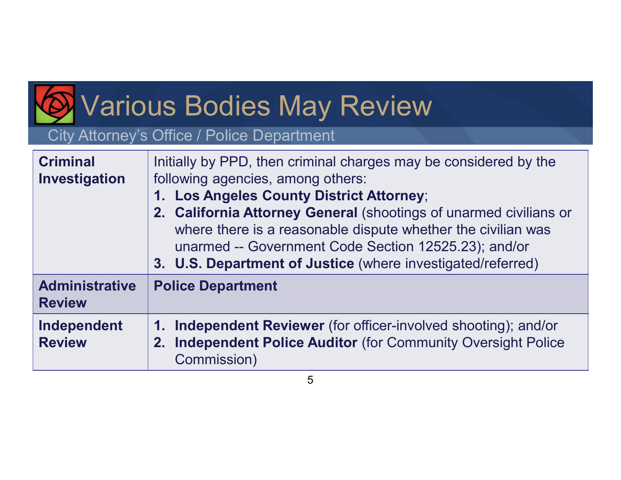# Various Bodies May Review

#### City Attorney's Office / Police Department

| <b>Various Bodies May Review</b><br>City Attorney's Office / Police Department |                                                                                                                                                                                                                                                                                                                                                                                                               |
|--------------------------------------------------------------------------------|---------------------------------------------------------------------------------------------------------------------------------------------------------------------------------------------------------------------------------------------------------------------------------------------------------------------------------------------------------------------------------------------------------------|
| <b>Criminal</b><br>Investigation                                               | Initially by PPD, then criminal charges may be considered by the<br>following agencies, among others:<br>1. Los Angeles County District Attorney;<br>2. California Attorney General (shootings of unarmed civilians or<br>where there is a reasonable dispute whether the civilian was<br>unarmed -- Government Code Section 12525.23); and/or<br>3. U.S. Department of Justice (where investigated/referred) |
| <b>Administrative</b><br><b>Review</b>                                         | <b>Police Department</b>                                                                                                                                                                                                                                                                                                                                                                                      |
| Independent<br><b>Review</b>                                                   | <b>Independent Reviewer</b> (for officer-involved shooting); and/or<br>1.<br><b>Independent Police Auditor (for Community Oversight Police)</b><br>2.<br>Commission)                                                                                                                                                                                                                                          |
| 5                                                                              |                                                                                                                                                                                                                                                                                                                                                                                                               |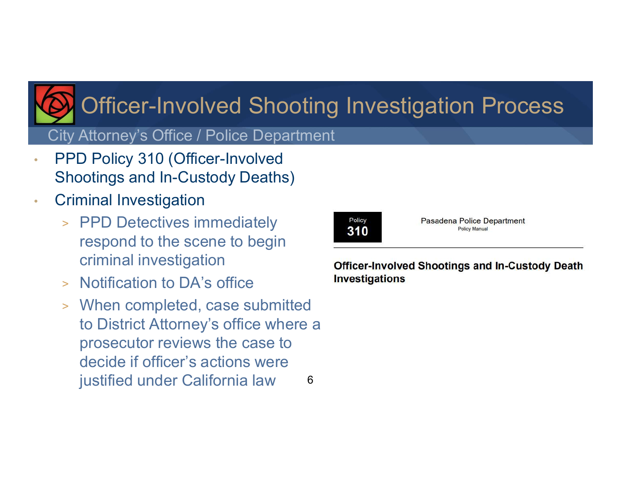

# Officer-Involved Shooting Investigation Process

City Attorney's Office / Police Department

- PPD Policy 310 (Officer-Involved Shootings and In-Custody Deaths)
- Criminal Investigation
	- > PPD Detectives immediately and state  $\overline{310}$ respond to the scene to begin criminal investigation officer-Involved Shootings and In-Custody Death
	- > Notification to DA's office **Investigations**
	- > When completed, case submitted to District Attorney's office where a prosecutor reviews the case to decide if officer's actions were justified under California law 6



Pasadena Police Department Policy Manual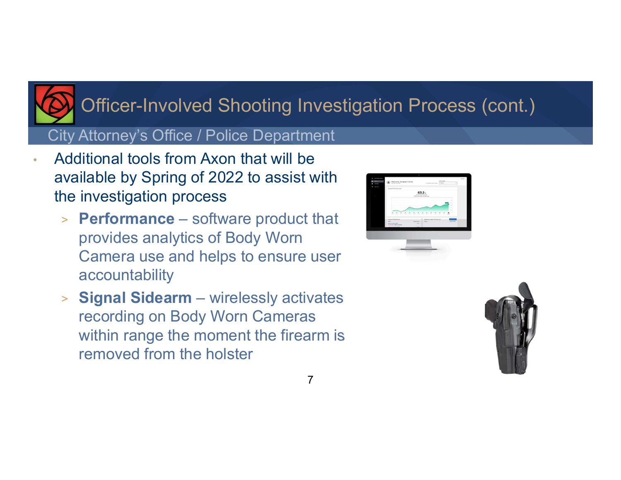

### Officer-Involved Shooting Investigation Process (cont.)

#### City Attorney's Office / Police Department

- Additional tools from Axon that will be available by Spring of 2022 to assist with the investigation process
- ► \n Officer-Involved Shooting Investigation Procity Attoney's Office / Police Department\n additional tools from Axon that will be\n available by Spring of 2022 to assist with\n ne investigation process\n > Performance software product that\n provides analytics of Body Worm\n Camera use and helps to ensure user provides analytics of Body Worn Camera use and helps to ensure user accountability ● Summary's Officer – Involved Shooting Investigation Procesty<br>
National tools from Axon that will be<br>
invaliable by Spring of 2022 to assist with<br>
The investigation process<br>
→ Performance – software product that<br>
provide
	- recording on Body Worn Cameras within range the moment the firearm is removed from the holster



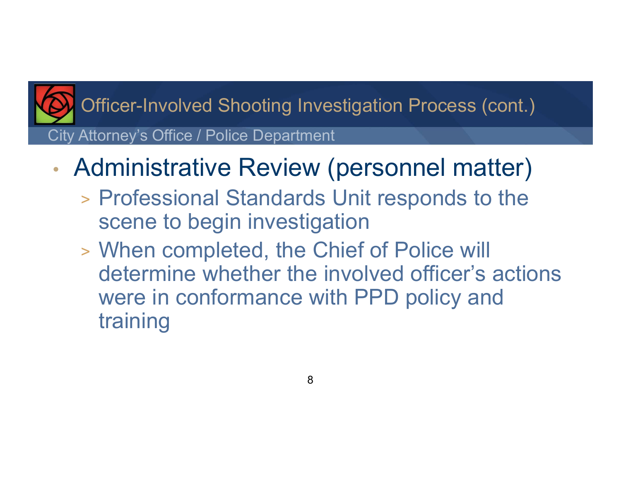

Officer-Involved Shooting Investigation Process (cont.)

City Attorney's Office / Police Department

- Administrative Review (personnel matter)
	- > Professional Standards Unit responds to the scene to begin investigation
	- > When completed, the Chief of Police will determine whether the involved officer's actions were in conformance with PPD policy and training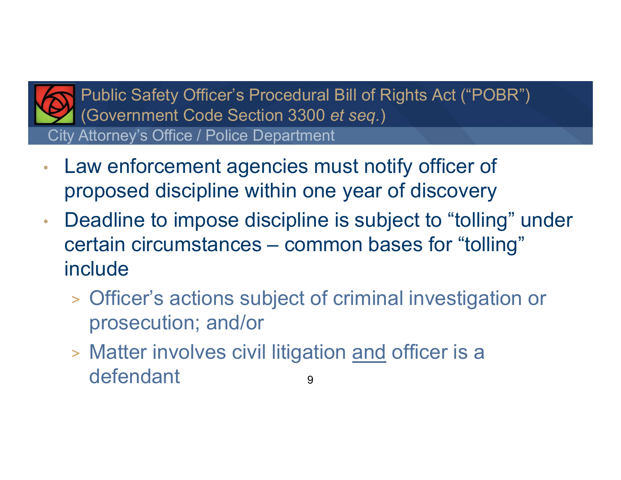

City Attorney's Office / Police Department Public Safety Officer's Procedural Bill of Rights Act ("POBR") (Government Code Section 3300 et seq.)

- Law enforcement agencies must notify officer of proposed discipline within one year of discovery
- Deadline to impose discipline is subject to "tolling" under Public Safety Officer's Procedural Bill of Rights Act ("POBR")<br>
(Government Code Section 3300 *et seq.)*<br>
Law enforcement agencies must notify officer of<br>
proposed discipline within one year of discovery<br>
Deadline to impos include Example and a series the series of discovery<br>
Deadline to impose discipline is subject to "tolling" under<br>
Series critain circumstances – common bases for "tolling"<br>
Include<br>
Sofficer's actions subject of criminal investig
	- > Officer's actions subject of criminal investigation or prosecution; and/or
	- defendant 9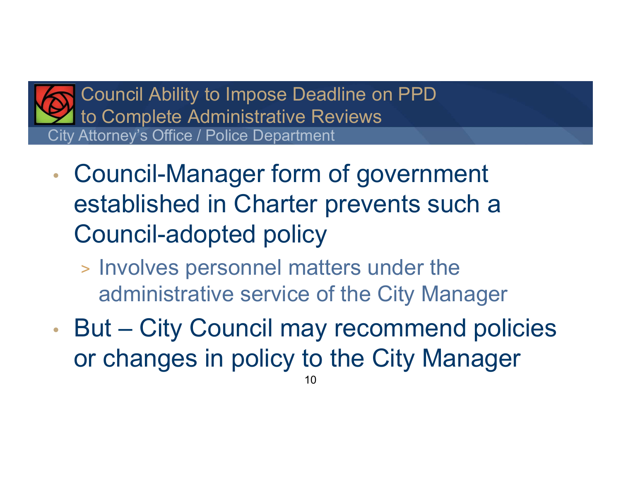

City Attorney's Office / Police Department Council Ability to Impose Deadline on PPD to Complete Administrative Reviews

- Council-Manager form of government established in Charter prevents such a Council-adopted policy Fity Attorney's Office / Police Department<br>
• Council-Manager form of government<br>
established in Charter prevents such a<br>
Council-adopted policy<br>
• Involves personnel matters under the<br>
administrative service of the City M
	- > Involves personnel matters under the administrative service of the City Manager
- or changes in policy to the City Manager